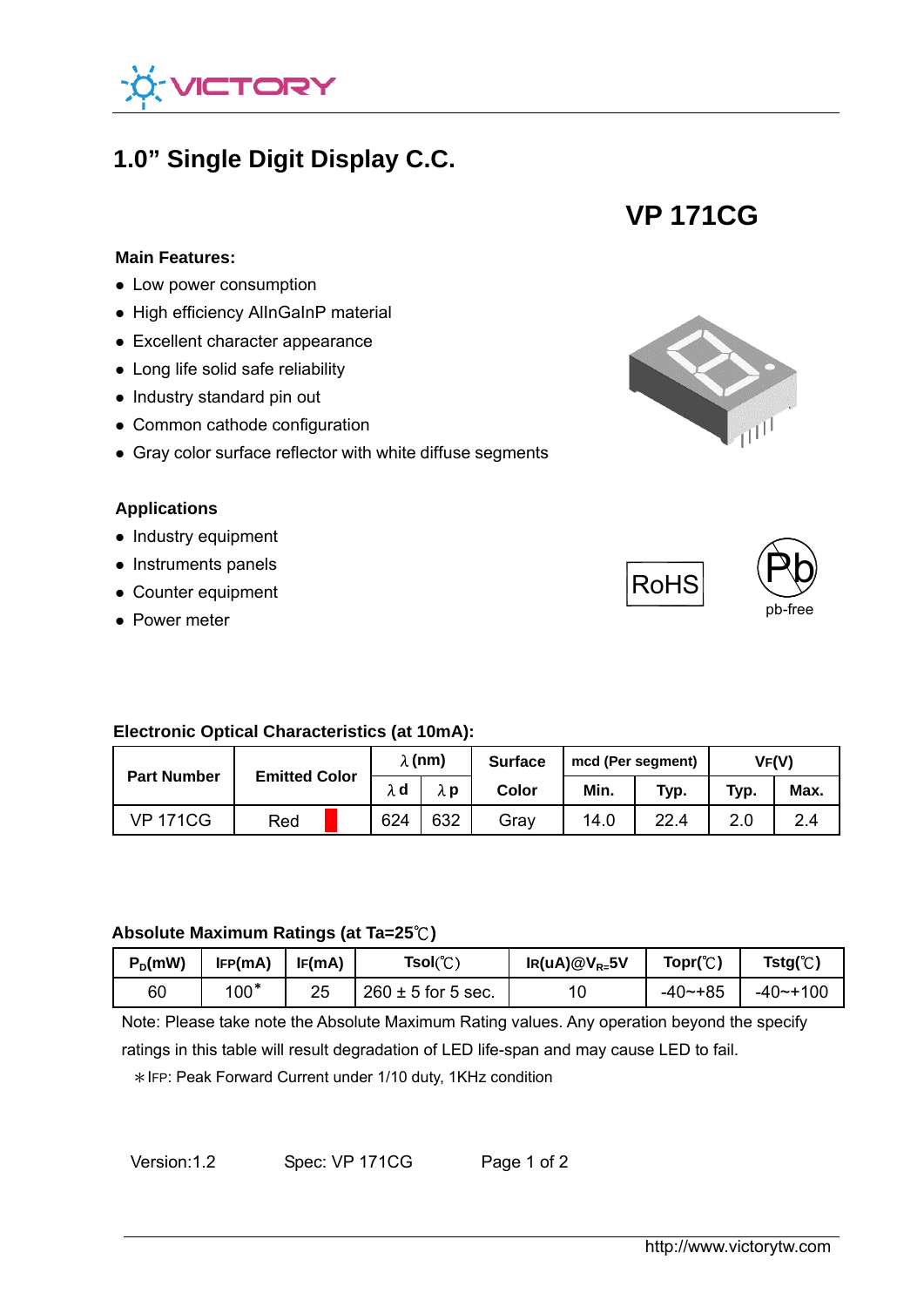

# **1.0" Single Digit Display C.C.**

**VP 171CG** 

#### **Main Features:**

- **Low power consumption**
- High efficiency AllnGaInP material
- Excellent character appearance
- Long life solid safe reliability
- Industry standard pin out
- Common cathode configuration
- Gray color surface reflector with white diffuse segments

## **Applications**

- $\bullet$  Industry equipment
- Instruments panels
- Counter equipment
- Power meter





#### **Electronic Optical Characteristics (at 10mA):**

| <b>Part Number</b> | <b>Emitted Color</b> |  | $\lambda$ (nm) |     | <b>Surface</b> | mcd (Per segment) |      | VF(V) |      |
|--------------------|----------------------|--|----------------|-----|----------------|-------------------|------|-------|------|
|                    |                      |  | λd             | λp  | Color          | Min.              | Typ. | Typ.  | Max. |
| <b>VP 171CG</b>    | Red                  |  | 624            | 632 | Grav           | 14.0              | 22.4 |       | 2.4  |

#### **Absolute Maximum Ratings (at Ta=25**℃**)**

| $P_D$ (mW) | IFP(mA) | IF(mA) | $\mathsf{Isol}(\mathbb{C})$ | $IR(uA)@V_{R=}5V$ | Topr $(C)$   | Tstg $(C)$    |
|------------|---------|--------|-----------------------------|-------------------|--------------|---------------|
| 60         | $100*$  | 25     | $260 \pm 5$ for 5 sec.      | 10                | $-40$ $-+85$ | $-40$ $-+100$ |

Note: Please take note the Absolute Maximum Rating values. Any operation beyond the specify

ratings in this table will result degradation of LED life-span and may cause LED to fail.

\*IFP: Peak Forward Current under 1/10 duty, 1KHz condition

Version:1.2 Spec: VP 171CG Page 1 of 2